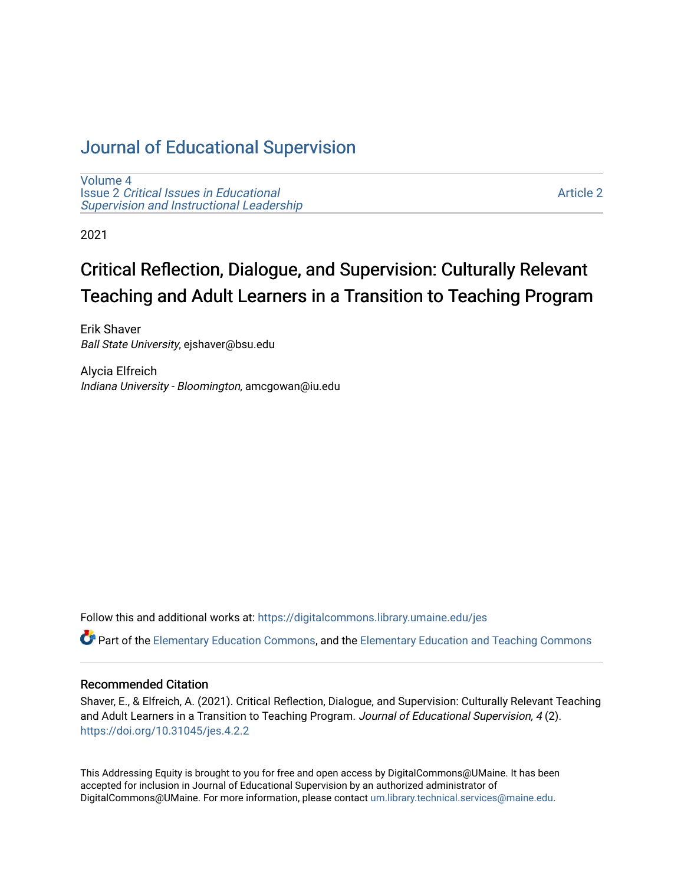# [Journal of Educational Supervision](https://digitalcommons.library.umaine.edu/jes)

[Volume 4](https://digitalcommons.library.umaine.edu/jes/vol4) Issue 2 [Critical Issues in Educational](https://digitalcommons.library.umaine.edu/jes/vol4/iss2) [Supervision and Instructional Leadership](https://digitalcommons.library.umaine.edu/jes/vol4/iss2) 

[Article 2](https://digitalcommons.library.umaine.edu/jes/vol4/iss2/2) 

2021

# Critical Reflection, Dialogue, and Supervision: Culturally Relevant Teaching and Adult Learners in a Transition to Teaching Program

Erik Shaver Ball State University, ejshaver@bsu.edu

Alycia Elfreich Indiana University - Bloomington, amcgowan@iu.edu

Follow this and additional works at: [https://digitalcommons.library.umaine.edu/jes](https://digitalcommons.library.umaine.edu/jes?utm_source=digitalcommons.library.umaine.edu%2Fjes%2Fvol4%2Fiss2%2F2&utm_medium=PDF&utm_campaign=PDFCoverPages)

**C** Part of the [Elementary Education Commons,](http://network.bepress.com/hgg/discipline/1378?utm_source=digitalcommons.library.umaine.edu%2Fjes%2Fvol4%2Fiss2%2F2&utm_medium=PDF&utm_campaign=PDFCoverPages) and the Elementary Education and Teaching Commons

#### Recommended Citation

Shaver, E., & Elfreich, A. (2021). Critical Reflection, Dialogue, and Supervision: Culturally Relevant Teaching and Adult Learners in a Transition to Teaching Program. Journal of Educational Supervision, 4(2). <https://doi.org/10.31045/jes.4.2.2>

This Addressing Equity is brought to you for free and open access by DigitalCommons@UMaine. It has been accepted for inclusion in Journal of Educational Supervision by an authorized administrator of DigitalCommons@UMaine. For more information, please contact [um.library.technical.services@maine.edu](mailto:um.library.technical.services@maine.edu).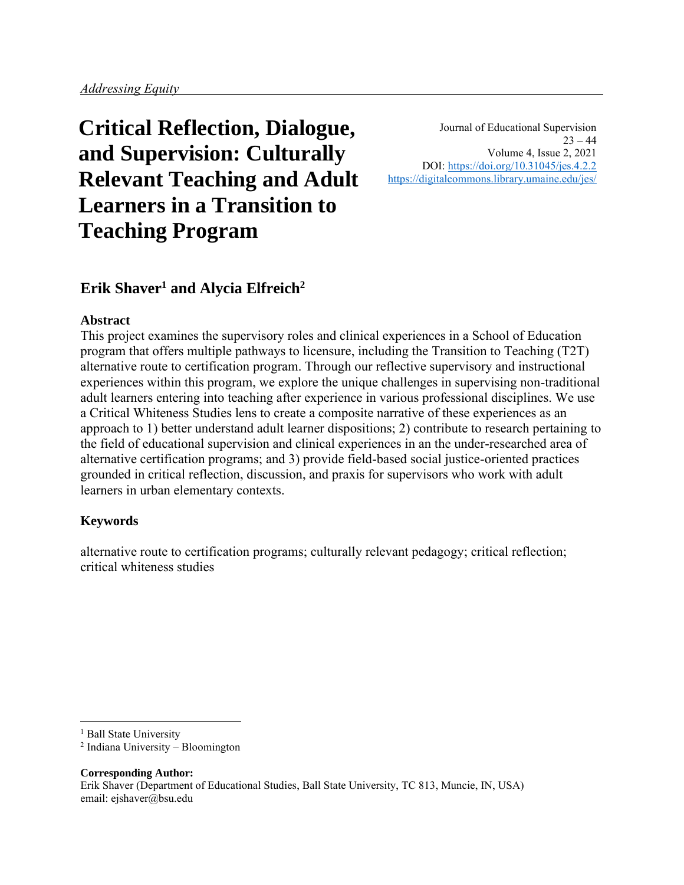# **Critical Reflection, Dialogue, and Supervision: Culturally Relevant Teaching and Adult Learners in a Transition to Teaching Program**

Journal of Educational Supervision  $23 - 44$ Volume 4, Issue 2, 2021 DOI:<https://doi.org/10.31045/jes.4.2.2> <https://digitalcommons.library.umaine.edu/jes/>

# **Erik Shaver<sup>1</sup> and Alycia Elfreich<sup>2</sup>**

### **Abstract**

This project examines the supervisory roles and clinical experiences in a School of Education program that offers multiple pathways to licensure, including the Transition to Teaching (T2T) alternative route to certification program. Through our reflective supervisory and instructional experiences within this program, we explore the unique challenges in supervising non-traditional adult learners entering into teaching after experience in various professional disciplines. We use a Critical Whiteness Studies lens to create a composite narrative of these experiences as an approach to 1) better understand adult learner dispositions; 2) contribute to research pertaining to the field of educational supervision and clinical experiences in an the under-researched area of alternative certification programs; and 3) provide field-based social justice-oriented practices grounded in critical reflection, discussion, and praxis for supervisors who work with adult learners in urban elementary contexts.

# **Keywords**

alternative route to certification programs; culturally relevant pedagogy; critical reflection; critical whiteness studies

**Corresponding Author:** Erik Shaver (Department of Educational Studies, Ball State University, TC 813, Muncie, IN, USA) email: ejshaver@bsu.edu

<sup>&</sup>lt;sup>1</sup> Ball State University

<sup>2</sup> Indiana University – Bloomington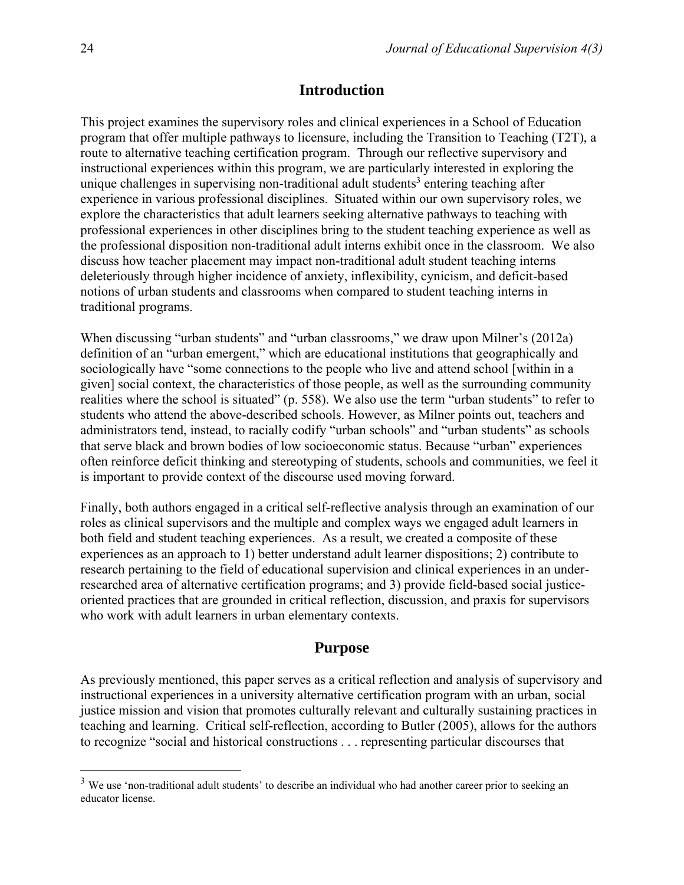### **Introduction**

This project examines the supervisory roles and clinical experiences in a School of Education program that offer multiple pathways to licensure, including the Transition to Teaching (T2T), a route to alternative teaching certification program. Through our reflective supervisory and instructional experiences within this program, we are particularly interested in exploring the unique challenges in supervising non-traditional adult students<sup>3</sup> entering teaching after experience in various professional disciplines. Situated within our own supervisory roles, we explore the characteristics that adult learners seeking alternative pathways to teaching with professional experiences in other disciplines bring to the student teaching experience as well as the professional disposition non-traditional adult interns exhibit once in the classroom. We also discuss how teacher placement may impact non-traditional adult student teaching interns deleteriously through higher incidence of anxiety, inflexibility, cynicism, and deficit-based notions of urban students and classrooms when compared to student teaching interns in traditional programs.

When discussing "urban students" and "urban classrooms," we draw upon Milner's (2012a) definition of an "urban emergent," which are educational institutions that geographically and sociologically have "some connections to the people who live and attend school [within in a given] social context, the characteristics of those people, as well as the surrounding community realities where the school is situated" (p. 558). We also use the term "urban students" to refer to students who attend the above-described schools. However, as Milner points out, teachers and administrators tend, instead, to racially codify "urban schools" and "urban students" as schools that serve black and brown bodies of low socioeconomic status. Because "urban" experiences often reinforce deficit thinking and stereotyping of students, schools and communities, we feel it is important to provide context of the discourse used moving forward.

Finally, both authors engaged in a critical self-reflective analysis through an examination of our roles as clinical supervisors and the multiple and complex ways we engaged adult learners in both field and student teaching experiences. As a result, we created a composite of these experiences as an approach to 1) better understand adult learner dispositions; 2) contribute to research pertaining to the field of educational supervision and clinical experiences in an underresearched area of alternative certification programs; and 3) provide field-based social justiceoriented practices that are grounded in critical reflection, discussion, and praxis for supervisors who work with adult learners in urban elementary contexts.

#### **Purpose**

As previously mentioned, this paper serves as a critical reflection and analysis of supervisory and instructional experiences in a university alternative certification program with an urban, social justice mission and vision that promotes culturally relevant and culturally sustaining practices in teaching and learning. Critical self-reflection, according to Butler (2005), allows for the authors to recognize "social and historical constructions . . . representing particular discourses that

<sup>&</sup>lt;sup>3</sup> We use 'non-traditional adult students' to describe an individual who had another career prior to seeking an educator license.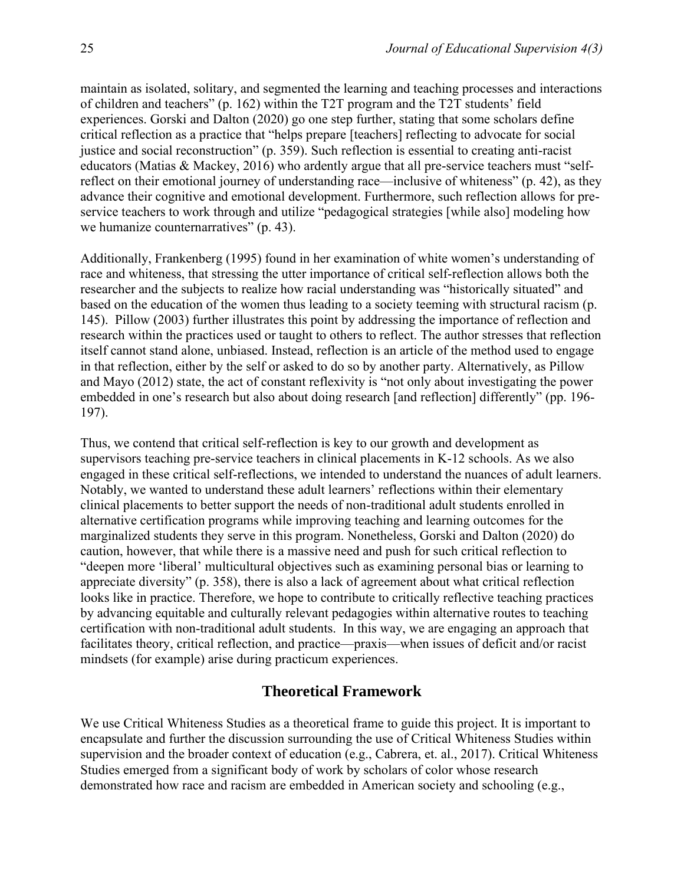maintain as isolated, solitary, and segmented the learning and teaching processes and interactions of children and teachers" (p. 162) within the T2T program and the T2T students' field experiences. Gorski and Dalton (2020) go one step further, stating that some scholars define critical reflection as a practice that "helps prepare [teachers] reflecting to advocate for social justice and social reconstruction" (p. 359). Such reflection is essential to creating anti-racist educators (Matias & Mackey, 2016) who ardently argue that all pre-service teachers must "selfreflect on their emotional journey of understanding race—inclusive of whiteness" (p. 42), as they advance their cognitive and emotional development. Furthermore, such reflection allows for preservice teachers to work through and utilize "pedagogical strategies [while also] modeling how we humanize counternarratives" (p. 43).

Additionally, Frankenberg (1995) found in her examination of white women's understanding of race and whiteness, that stressing the utter importance of critical self-reflection allows both the researcher and the subjects to realize how racial understanding was "historically situated" and based on the education of the women thus leading to a society teeming with structural racism (p. 145). Pillow (2003) further illustrates this point by addressing the importance of reflection and research within the practices used or taught to others to reflect. The author stresses that reflection itself cannot stand alone, unbiased. Instead, reflection is an article of the method used to engage in that reflection, either by the self or asked to do so by another party. Alternatively, as Pillow and Mayo (2012) state, the act of constant reflexivity is "not only about investigating the power embedded in one's research but also about doing research [and reflection] differently" (pp. 196- 197).

Thus, we contend that critical self-reflection is key to our growth and development as supervisors teaching pre-service teachers in clinical placements in K-12 schools. As we also engaged in these critical self-reflections, we intended to understand the nuances of adult learners. Notably, we wanted to understand these adult learners' reflections within their elementary clinical placements to better support the needs of non-traditional adult students enrolled in alternative certification programs while improving teaching and learning outcomes for the marginalized students they serve in this program. Nonetheless, Gorski and Dalton (2020) do caution, however, that while there is a massive need and push for such critical reflection to "deepen more 'liberal' multicultural objectives such as examining personal bias or learning to appreciate diversity" (p. 358), there is also a lack of agreement about what critical reflection looks like in practice. Therefore, we hope to contribute to critically reflective teaching practices by advancing equitable and culturally relevant pedagogies within alternative routes to teaching certification with non-traditional adult students. In this way, we are engaging an approach that facilitates theory, critical reflection, and practice—praxis—when issues of deficit and/or racist mindsets (for example) arise during practicum experiences.

## **Theoretical Framework**

We use Critical Whiteness Studies as a theoretical frame to guide this project. It is important to encapsulate and further the discussion surrounding the use of Critical Whiteness Studies within supervision and the broader context of education (e.g., Cabrera, et. al., 2017). Critical Whiteness Studies emerged from a significant body of work by scholars of color whose research demonstrated how race and racism are embedded in American society and schooling (e.g.,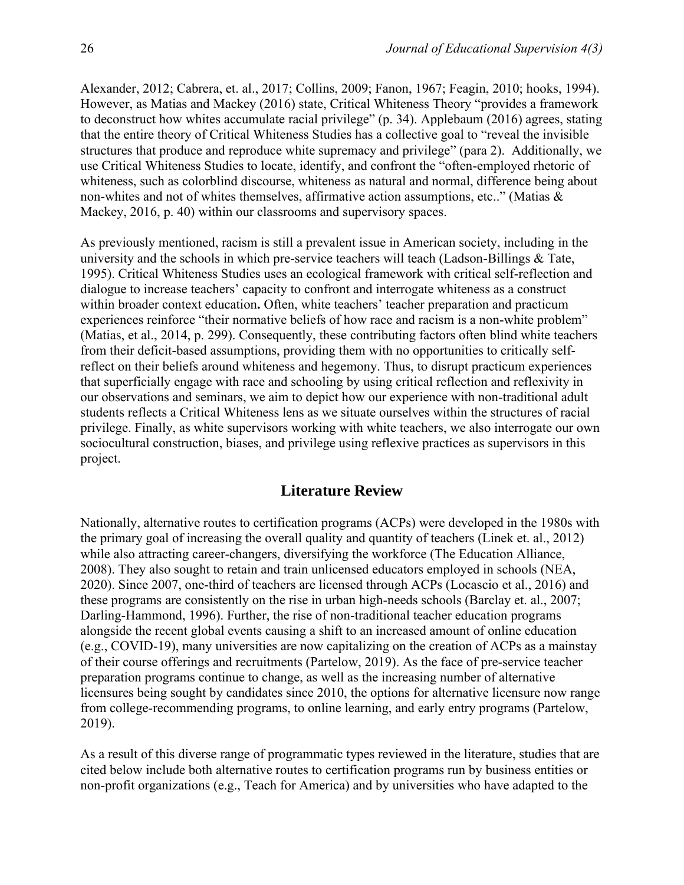Alexander, 2012; Cabrera, et. al., 2017; Collins, 2009; Fanon, 1967; Feagin, 2010; hooks, 1994). However, as Matias and Mackey (2016) state, Critical Whiteness Theory "provides a framework to deconstruct how whites accumulate racial privilege" (p. 34). Applebaum (2016) agrees, stating that the entire theory of Critical Whiteness Studies has a collective goal to "reveal the invisible structures that produce and reproduce white supremacy and privilege" (para 2). Additionally, we use Critical Whiteness Studies to locate, identify, and confront the "often-employed rhetoric of whiteness, such as colorblind discourse, whiteness as natural and normal, difference being about non-whites and not of whites themselves, affirmative action assumptions, etc.." (Matias & Mackey, 2016, p. 40) within our classrooms and supervisory spaces.

As previously mentioned, racism is still a prevalent issue in American society, including in the university and the schools in which pre-service teachers will teach (Ladson-Billings & Tate, 1995). Critical Whiteness Studies uses an ecological framework with critical self-reflection and dialogue to increase teachers' capacity to confront and interrogate whiteness as a construct within broader context education. Often, white teachers' teacher preparation and practicum experiences reinforce "their normative beliefs of how race and racism is a non-white problem" (Matias, et al., 2014, p. 299). Consequently, these contributing factors often blind white teachers from their deficit-based assumptions, providing them with no opportunities to critically selfreflect on their beliefs around whiteness and hegemony. Thus, to disrupt practicum experiences that superficially engage with race and schooling by using critical reflection and reflexivity in our observations and seminars, we aim to depict how our experience with non-traditional adult students reflects a Critical Whiteness lens as we situate ourselves within the structures of racial privilege. Finally, as white supervisors working with white teachers, we also interrogate our own sociocultural construction, biases, and privilege using reflexive practices as supervisors in this project.

# **Literature Review**

Nationally, alternative routes to certification programs (ACPs) were developed in the 1980s with the primary goal of increasing the overall quality and quantity of teachers (Linek et. al., 2012) while also attracting career-changers, diversifying the workforce (The Education Alliance, 2008). They also sought to retain and train unlicensed educators employed in schools (NEA, 2020). Since 2007, one-third of teachers are licensed through ACPs (Locascio et al., 2016) and these programs are consistently on the rise in urban high-needs schools (Barclay et. al., 2007; Darling-Hammond, 1996). Further, the rise of non-traditional teacher education programs alongside the recent global events causing a shift to an increased amount of online education (e.g., COVID-19), many universities are now capitalizing on the creation of ACPs as a mainstay of their course offerings and recruitments (Partelow, 2019). As the face of pre-service teacher preparation programs continue to change, as well as the increasing number of alternative licensures being sought by candidates since 2010, the options for alternative licensure now range from college-recommending programs, to online learning, and early entry programs (Partelow, 2019).

As a result of this diverse range of programmatic types reviewed in the literature, studies that are cited below include both alternative routes to certification programs run by business entities or non-profit organizations (e.g., Teach for America) and by universities who have adapted to the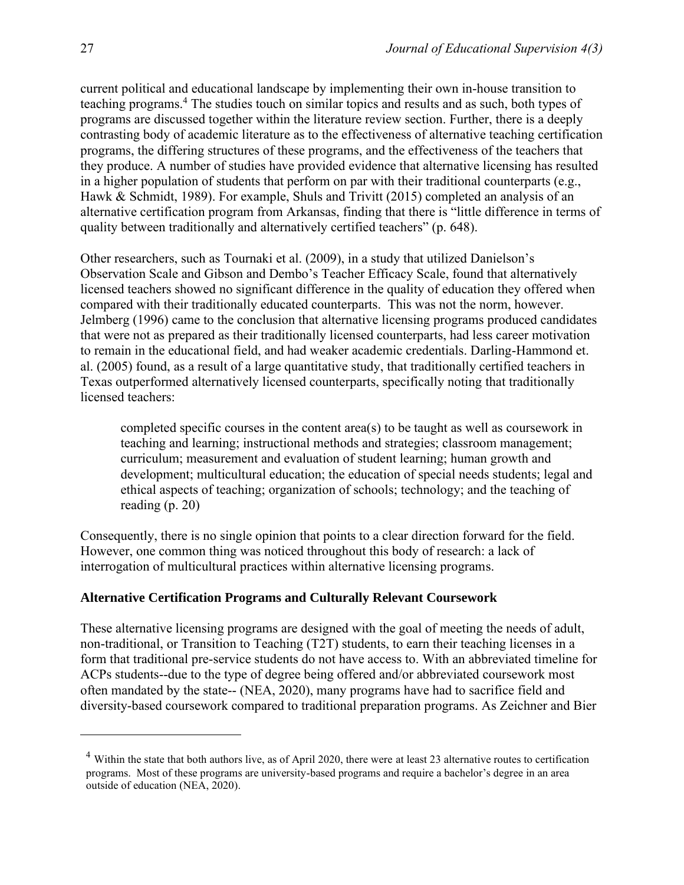current political and educational landscape by implementing their own in-house transition to teaching programs.<sup>4</sup> The studies touch on similar topics and results and as such, both types of programs are discussed together within the literature review section. Further, there is a deeply contrasting body of academic literature as to the effectiveness of alternative teaching certification programs, the differing structures of these programs, and the effectiveness of the teachers that they produce. A number of studies have provided evidence that alternative licensing has resulted in a higher population of students that perform on par with their traditional counterparts (e.g., Hawk & Schmidt, 1989). For example, Shuls and Trivitt (2015) completed an analysis of an alternative certification program from Arkansas, finding that there is "little difference in terms of quality between traditionally and alternatively certified teachers" (p. 648).

Other researchers, such as Tournaki et al. (2009), in a study that utilized Danielson's Observation Scale and Gibson and Dembo's Teacher Efficacy Scale, found that alternatively licensed teachers showed no significant difference in the quality of education they offered when compared with their traditionally educated counterparts. This was not the norm, however. Jelmberg (1996) came to the conclusion that alternative licensing programs produced candidates that were not as prepared as their traditionally licensed counterparts, had less career motivation to remain in the educational field, and had weaker academic credentials. Darling-Hammond et. al. (2005) found, as a result of a large quantitative study, that traditionally certified teachers in Texas outperformed alternatively licensed counterparts, specifically noting that traditionally licensed teachers:

completed specific courses in the content area(s) to be taught as well as coursework in teaching and learning; instructional methods and strategies; classroom management; curriculum; measurement and evaluation of student learning; human growth and development; multicultural education; the education of special needs students; legal and ethical aspects of teaching; organization of schools; technology; and the teaching of reading (p. 20)

Consequently, there is no single opinion that points to a clear direction forward for the field. However, one common thing was noticed throughout this body of research: a lack of interrogation of multicultural practices within alternative licensing programs.

#### **Alternative Certification Programs and Culturally Relevant Coursework**

These alternative licensing programs are designed with the goal of meeting the needs of adult, non-traditional, or Transition to Teaching (T2T) students, to earn their teaching licenses in a form that traditional pre-service students do not have access to. With an abbreviated timeline for ACPs students--due to the type of degree being offered and/or abbreviated coursework most often mandated by the state-- (NEA, 2020), many programs have had to sacrifice field and diversity-based coursework compared to traditional preparation programs. As Zeichner and Bier

 $4$  Within the state that both authors live, as of April 2020, there were at least 23 alternative routes to certification programs. Most of these programs are university-based programs and require a bachelor's degree in an area outside of education (NEA, 2020).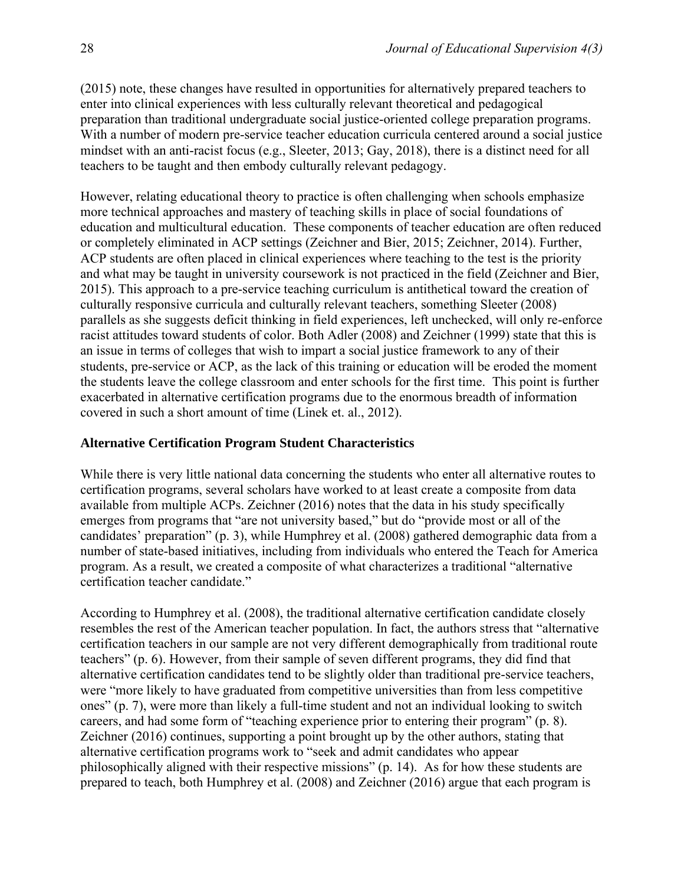(2015) note, these changes have resulted in opportunities for alternatively prepared teachers to enter into clinical experiences with less culturally relevant theoretical and pedagogical preparation than traditional undergraduate social justice-oriented college preparation programs. With a number of modern pre-service teacher education curricula centered around a social justice mindset with an anti-racist focus (e.g., Sleeter, 2013; Gay, 2018), there is a distinct need for all teachers to be taught and then embody culturally relevant pedagogy.

However, relating educational theory to practice is often challenging when schools emphasize more technical approaches and mastery of teaching skills in place of social foundations of education and multicultural education. These components of teacher education are often reduced or completely eliminated in ACP settings (Zeichner and Bier, 2015; Zeichner, 2014). Further, ACP students are often placed in clinical experiences where teaching to the test is the priority and what may be taught in university coursework is not practiced in the field (Zeichner and Bier, 2015). This approach to a pre-service teaching curriculum is antithetical toward the creation of culturally responsive curricula and culturally relevant teachers, something Sleeter (2008) parallels as she suggests deficit thinking in field experiences, left unchecked, will only re-enforce racist attitudes toward students of color. Both Adler (2008) and Zeichner (1999) state that this is an issue in terms of colleges that wish to impart a social justice framework to any of their students, pre-service or ACP, as the lack of this training or education will be eroded the moment the students leave the college classroom and enter schools for the first time. This point is further exacerbated in alternative certification programs due to the enormous breadth of information covered in such a short amount of time (Linek et. al., 2012).

#### **Alternative Certification Program Student Characteristics**

While there is very little national data concerning the students who enter all alternative routes to certification programs, several scholars have worked to at least create a composite from data available from multiple ACPs. Zeichner (2016) notes that the data in his study specifically emerges from programs that "are not university based," but do "provide most or all of the candidates' preparation" (p. 3), while Humphrey et al. (2008) gathered demographic data from a number of state-based initiatives, including from individuals who entered the Teach for America program. As a result, we created a composite of what characterizes a traditional "alternative certification teacher candidate."

According to Humphrey et al. (2008), the traditional alternative certification candidate closely resembles the rest of the American teacher population. In fact, the authors stress that "alternative certification teachers in our sample are not very different demographically from traditional route teachers" (p. 6). However, from their sample of seven different programs, they did find that alternative certification candidates tend to be slightly older than traditional pre-service teachers, were "more likely to have graduated from competitive universities than from less competitive ones" (p. 7), were more than likely a full-time student and not an individual looking to switch careers, and had some form of "teaching experience prior to entering their program" (p. 8). Zeichner (2016) continues, supporting a point brought up by the other authors, stating that alternative certification programs work to "seek and admit candidates who appear philosophically aligned with their respective missions" (p. 14). As for how these students are prepared to teach, both Humphrey et al. (2008) and Zeichner (2016) argue that each program is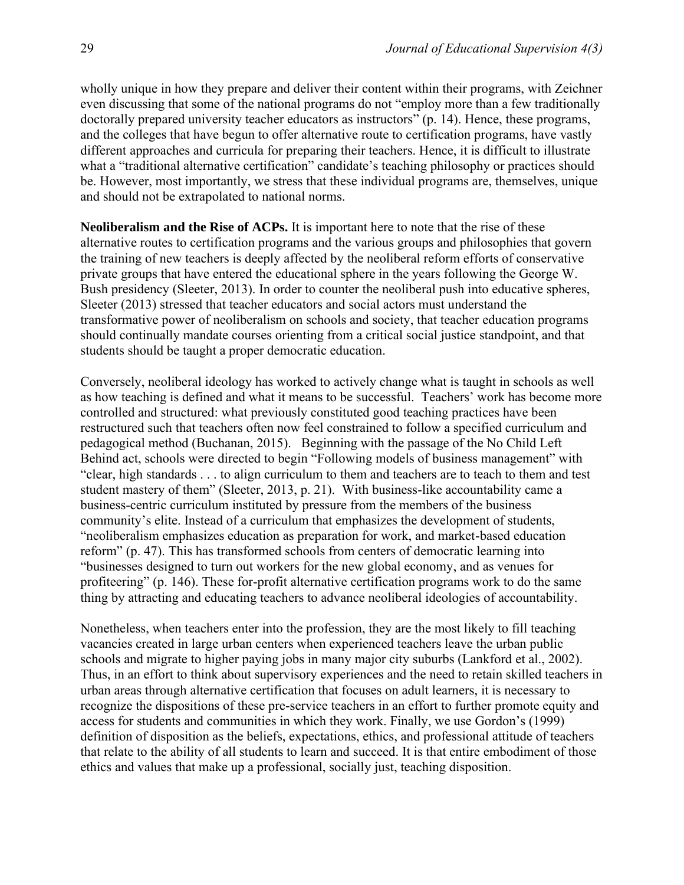wholly unique in how they prepare and deliver their content within their programs, with Zeichner even discussing that some of the national programs do not "employ more than a few traditionally doctorally prepared university teacher educators as instructors" (p. 14). Hence, these programs, and the colleges that have begun to offer alternative route to certification programs, have vastly different approaches and curricula for preparing their teachers. Hence, it is difficult to illustrate what a "traditional alternative certification" candidate's teaching philosophy or practices should be. However, most importantly, we stress that these individual programs are, themselves, unique and should not be extrapolated to national norms.

**Neoliberalism and the Rise of ACPs.** It is important here to note that the rise of these alternative routes to certification programs and the various groups and philosophies that govern the training of new teachers is deeply affected by the neoliberal reform efforts of conservative private groups that have entered the educational sphere in the years following the George W. Bush presidency (Sleeter, 2013). In order to counter the neoliberal push into educative spheres, Sleeter (2013) stressed that teacher educators and social actors must understand the transformative power of neoliberalism on schools and society, that teacher education programs should continually mandate courses orienting from a critical social justice standpoint, and that students should be taught a proper democratic education.

Conversely, neoliberal ideology has worked to actively change what is taught in schools as well as how teaching is defined and what it means to be successful. Teachers' work has become more controlled and structured: what previously constituted good teaching practices have been restructured such that teachers often now feel constrained to follow a specified curriculum and pedagogical method (Buchanan, 2015). Beginning with the passage of the No Child Left Behind act, schools were directed to begin "Following models of business management" with "clear, high standards . . . to align curriculum to them and teachers are to teach to them and test student mastery of them" (Sleeter, 2013, p. 21). With business-like accountability came a business-centric curriculum instituted by pressure from the members of the business community's elite. Instead of a curriculum that emphasizes the development of students, "neoliberalism emphasizes education as preparation for work, and market-based education reform" (p. 47). This has transformed schools from centers of democratic learning into "businesses designed to turn out workers for the new global economy, and as venues for profiteering" (p. 146). These for-profit alternative certification programs work to do the same thing by attracting and educating teachers to advance neoliberal ideologies of accountability.

Nonetheless, when teachers enter into the profession, they are the most likely to fill teaching vacancies created in large urban centers when experienced teachers leave the urban public schools and migrate to higher paying jobs in many major city suburbs (Lankford et al., 2002). Thus, in an effort to think about supervisory experiences and the need to retain skilled teachers in urban areas through alternative certification that focuses on adult learners, it is necessary to recognize the dispositions of these pre-service teachers in an effort to further promote equity and access for students and communities in which they work. Finally, we use Gordon's (1999) definition of disposition as the beliefs, expectations, ethics, and professional attitude of teachers that relate to the ability of all students to learn and succeed. It is that entire embodiment of those ethics and values that make up a professional, socially just, teaching disposition.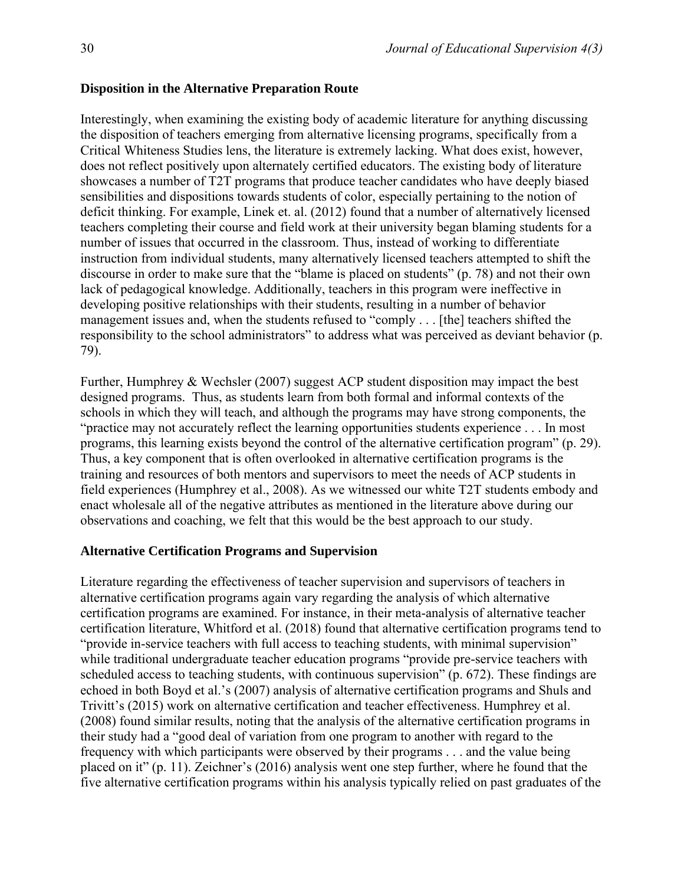#### **Disposition in the Alternative Preparation Route**

Interestingly, when examining the existing body of academic literature for anything discussing the disposition of teachers emerging from alternative licensing programs, specifically from a Critical Whiteness Studies lens, the literature is extremely lacking. What does exist, however, does not reflect positively upon alternately certified educators. The existing body of literature showcases a number of T2T programs that produce teacher candidates who have deeply biased sensibilities and dispositions towards students of color, especially pertaining to the notion of deficit thinking. For example, Linek et. al. (2012) found that a number of alternatively licensed teachers completing their course and field work at their university began blaming students for a number of issues that occurred in the classroom. Thus, instead of working to differentiate instruction from individual students, many alternatively licensed teachers attempted to shift the discourse in order to make sure that the "blame is placed on students" (p. 78) and not their own lack of pedagogical knowledge. Additionally, teachers in this program were ineffective in developing positive relationships with their students, resulting in a number of behavior management issues and, when the students refused to "comply . . . [the] teachers shifted the responsibility to the school administrators" to address what was perceived as deviant behavior (p. 79).

Further, Humphrey & Wechsler (2007) suggest ACP student disposition may impact the best designed programs. Thus, as students learn from both formal and informal contexts of the schools in which they will teach, and although the programs may have strong components, the "practice may not accurately reflect the learning opportunities students experience . . . In most programs, this learning exists beyond the control of the alternative certification program" (p. 29). Thus, a key component that is often overlooked in alternative certification programs is the training and resources of both mentors and supervisors to meet the needs of ACP students in field experiences (Humphrey et al., 2008). As we witnessed our white T2T students embody and enact wholesale all of the negative attributes as mentioned in the literature above during our observations and coaching, we felt that this would be the best approach to our study.

#### **Alternative Certification Programs and Supervision**

Literature regarding the effectiveness of teacher supervision and supervisors of teachers in alternative certification programs again vary regarding the analysis of which alternative certification programs are examined. For instance, in their meta-analysis of alternative teacher certification literature, Whitford et al. (2018) found that alternative certification programs tend to "provide in-service teachers with full access to teaching students, with minimal supervision" while traditional undergraduate teacher education programs "provide pre-service teachers with scheduled access to teaching students, with continuous supervision" (p. 672). These findings are echoed in both Boyd et al.'s (2007) analysis of alternative certification programs and Shuls and Trivitt's (2015) work on alternative certification and teacher effectiveness. Humphrey et al. (2008) found similar results, noting that the analysis of the alternative certification programs in their study had a "good deal of variation from one program to another with regard to the frequency with which participants were observed by their programs . . . and the value being placed on it" (p. 11). Zeichner's (2016) analysis went one step further, where he found that the five alternative certification programs within his analysis typically relied on past graduates of the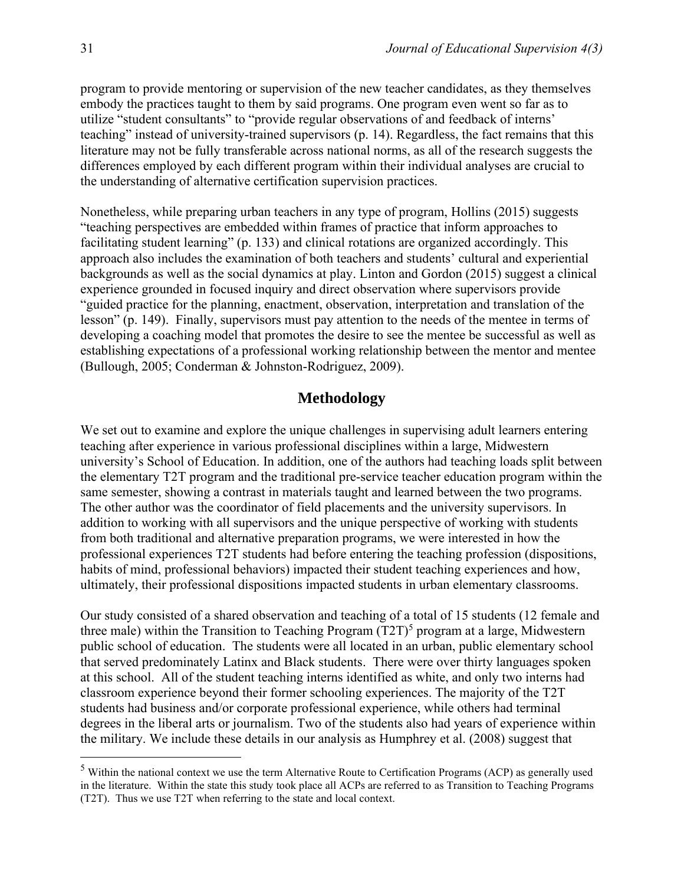program to provide mentoring or supervision of the new teacher candidates, as they themselves embody the practices taught to them by said programs. One program even went so far as to utilize "student consultants" to "provide regular observations of and feedback of interns' teaching" instead of university-trained supervisors (p. 14). Regardless, the fact remains that this literature may not be fully transferable across national norms, as all of the research suggests the differences employed by each different program within their individual analyses are crucial to the understanding of alternative certification supervision practices.

Nonetheless, while preparing urban teachers in any type of program, Hollins (2015) suggests "teaching perspectives are embedded within frames of practice that inform approaches to facilitating student learning" (p. 133) and clinical rotations are organized accordingly. This approach also includes the examination of both teachers and students' cultural and experiential backgrounds as well as the social dynamics at play. Linton and Gordon (2015) suggest a clinical experience grounded in focused inquiry and direct observation where supervisors provide "guided practice for the planning, enactment, observation, interpretation and translation of the lesson" (p. 149). Finally, supervisors must pay attention to the needs of the mentee in terms of developing a coaching model that promotes the desire to see the mentee be successful as well as establishing expectations of a professional working relationship between the mentor and mentee (Bullough, 2005; Conderman & Johnston-Rodriguez, 2009).

#### **Methodology**

We set out to examine and explore the unique challenges in supervising adult learners entering teaching after experience in various professional disciplines within a large, Midwestern university's School of Education. In addition, one of the authors had teaching loads split between the elementary T2T program and the traditional pre-service teacher education program within the same semester, showing a contrast in materials taught and learned between the two programs. The other author was the coordinator of field placements and the university supervisors. In addition to working with all supervisors and the unique perspective of working with students from both traditional and alternative preparation programs, we were interested in how the professional experiences T2T students had before entering the teaching profession (dispositions, habits of mind, professional behaviors) impacted their student teaching experiences and how, ultimately, their professional dispositions impacted students in urban elementary classrooms.

Our study consisted of a shared observation and teaching of a total of 15 students (12 female and three male) within the Transition to Teaching Program  $(T2T)^5$  program at a large, Midwestern public school of education. The students were all located in an urban, public elementary school that served predominately Latinx and Black students. There were over thirty languages spoken at this school. All of the student teaching interns identified as white, and only two interns had classroom experience beyond their former schooling experiences. The majority of the T2T students had business and/or corporate professional experience, while others had terminal degrees in the liberal arts or journalism. Two of the students also had years of experience within the military. We include these details in our analysis as Humphrey et al. (2008) suggest that

<sup>5</sup> Within the national context we use the term Alternative Route to Certification Programs (ACP) as generally used in the literature. Within the state this study took place all ACPs are referred to as Transition to Teaching Programs (T2T). Thus we use T2T when referring to the state and local context.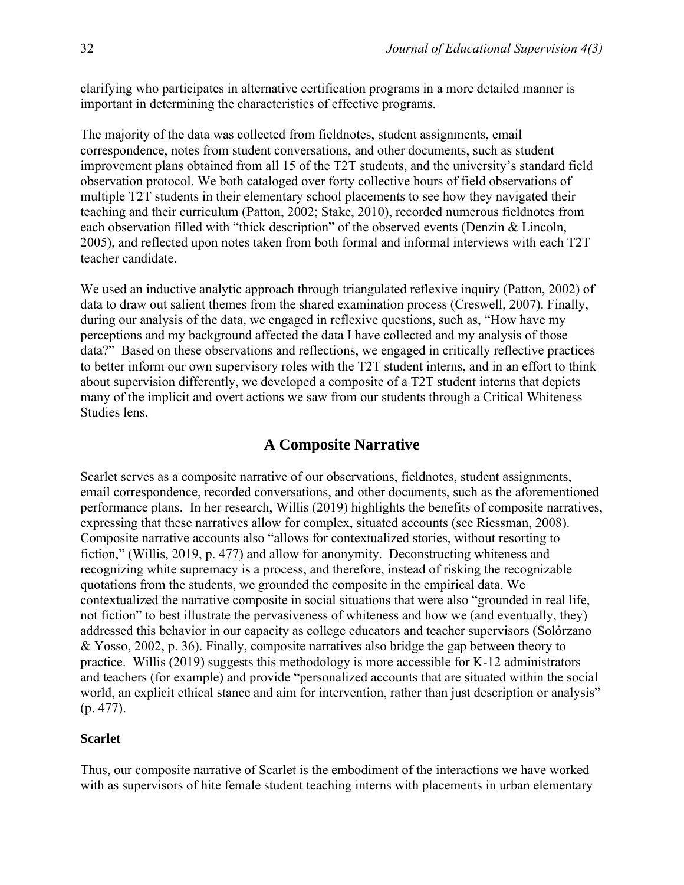clarifying who participates in alternative certification programs in a more detailed manner is important in determining the characteristics of effective programs.

The majority of the data was collected from fieldnotes, student assignments, email correspondence, notes from student conversations, and other documents, such as student improvement plans obtained from all 15 of the T2T students, and the university's standard field observation protocol. We both cataloged over forty collective hours of field observations of multiple T2T students in their elementary school placements to see how they navigated their teaching and their curriculum (Patton, 2002; Stake, 2010), recorded numerous fieldnotes from each observation filled with "thick description" of the observed events (Denzin & Lincoln, 2005), and reflected upon notes taken from both formal and informal interviews with each T2T teacher candidate.

We used an inductive analytic approach through triangulated reflexive inquiry (Patton, 2002) of data to draw out salient themes from the shared examination process (Creswell, 2007). Finally, during our analysis of the data, we engaged in reflexive questions, such as, "How have my perceptions and my background affected the data I have collected and my analysis of those data?" Based on these observations and reflections, we engaged in critically reflective practices to better inform our own supervisory roles with the T2T student interns, and in an effort to think about supervision differently, we developed a composite of a T2T student interns that depicts many of the implicit and overt actions we saw from our students through a Critical Whiteness Studies lens.

### **A Composite Narrative**

Scarlet serves as a composite narrative of our observations, fieldnotes, student assignments, email correspondence, recorded conversations, and other documents, such as the aforementioned performance plans. In her research, Willis (2019) highlights the benefits of composite narratives, expressing that these narratives allow for complex, situated accounts (see Riessman, 2008). Composite narrative accounts also "allows for contextualized stories, without resorting to fiction," (Willis, 2019, p. 477) and allow for anonymity. Deconstructing whiteness and recognizing white supremacy is a process, and therefore, instead of risking the recognizable quotations from the students, we grounded the composite in the empirical data. We contextualized the narrative composite in social situations that were also "grounded in real life, not fiction" to best illustrate the pervasiveness of whiteness and how we (and eventually, they) addressed this behavior in our capacity as college educators and teacher supervisors (Solórzano & Yosso, 2002, p. 36). Finally, composite narratives also bridge the gap between theory to practice. Willis (2019) suggests this methodology is more accessible for K-12 administrators and teachers (for example) and provide "personalized accounts that are situated within the social world, an explicit ethical stance and aim for intervention, rather than just description or analysis" (p. 477).

#### **Scarlet**

Thus, our composite narrative of Scarlet is the embodiment of the interactions we have worked with as supervisors of hite female student teaching interns with placements in urban elementary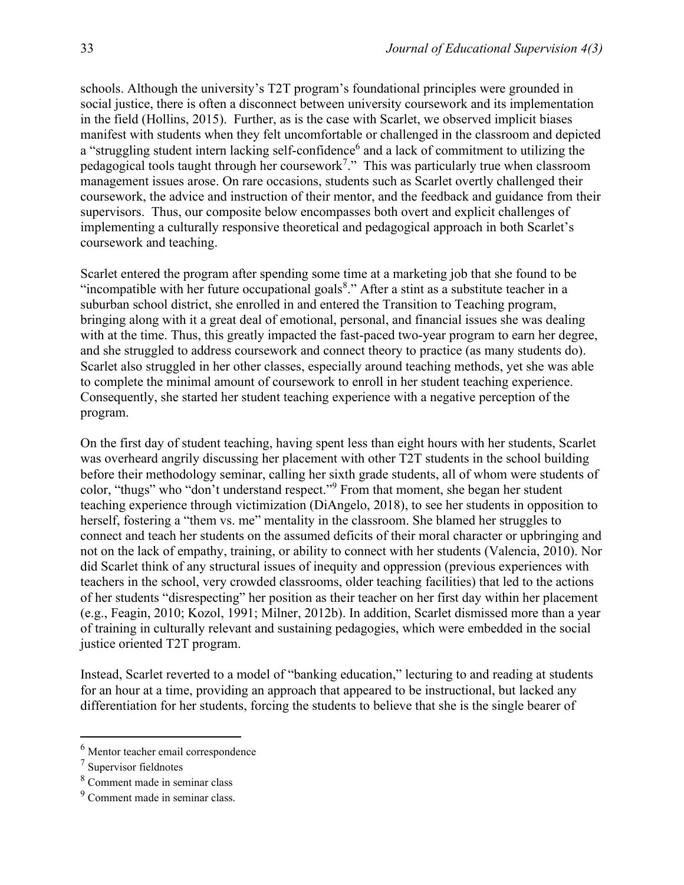schools. Although the university's T2T program's foundational principles were grounded in social justice, there is often a disconnect between university coursework and its implementation in the field (Hollins, 2015). Further, as is the case with Scarlet, we observed implicit biases manifest with students when they felt uncomfortable or challenged in the classroom and depicted a "struggling student intern lacking self-confidence<sup>6</sup> and a lack of commitment to utilizing the pedagogical tools taught through her coursework<sup>7</sup>." This was particularly true when classroom management issues arose. On rare occasions, students such as Scarlet overtly challenged their coursework, the advice and instruction of their mentor, and the feedback and guidance from their supervisors. Thus, our composite below encompasses both overt and explicit challenges of implementing a culturally responsive theoretical and pedagogical approach in both Scarlet's coursework and teaching.

Scarlet entered the program after spending some time at a marketing job that she found to be "incompatible with her future occupational goals $8$ ." After a stint as a substitute teacher in a suburban school district, she enrolled in and entered the Transition to Teaching program, bringing along with it a great deal of emotional, personal, and financial issues she was dealing with at the time. Thus, this greatly impacted the fast-paced two-year program to earn her degree, and she struggled to address coursework and connect theory to practice (as many students do). Scarlet also struggled in her other classes, especially around teaching methods, yet she was able to complete the minimal amount of coursework to enroll in her student teaching experience. Consequently, she started her student teaching experience with a negative perception of the program.

On the first day of student teaching, having spent less than eight hours with her students, Scarlet was overheard angrily discussing her placement with other T2T students in the school building before their methodology seminar, calling her sixth grade students, all of whom were students of color, "thugs" who "don't understand respect."<sup>9</sup> From that moment, she began her student teaching experience through victimization (DiAngelo, 2018), to see her students in opposition to herself, fostering a "them vs. me" mentality in the classroom. She blamed her struggles to connect and teach her students on the assumed deficits of their moral character or upbringing and not on the lack of empathy, training, or ability to connect with her students (Valencia, 2010). Nor did Scarlet think of any structural issues of inequity and oppression (previous experiences with teachers in the school, very crowded classrooms, older teaching facilities) that led to the actions of her students "disrespecting" her position as their teacher on her first day within her placement (e.g., Feagin, 2010; Kozol, 1991; Milner, 2012b). In addition, Scarlet dismissed more than a year of training in culturally relevant and sustaining pedagogies, which were embedded in the social justice oriented T2T program.

Instead, Scarlet reverted to a model of "banking education," lecturing to and reading at students for an hour at a time, providing an approach that appeared to be instructional, but lacked any differentiation for her students, forcing the students to believe that she is the single bearer of

<sup>6</sup> Mentor teacher email correspondence

 $7$  Supervisor fieldnotes

<sup>8</sup> Comment made in seminar class

<sup>9</sup> Comment made in seminar class.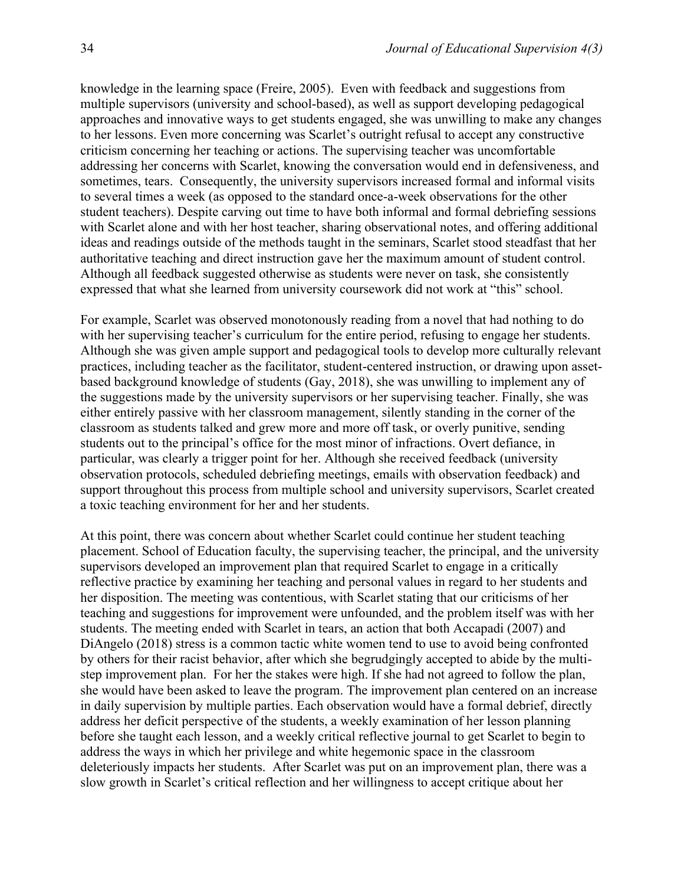knowledge in the learning space (Freire, 2005). Even with feedback and suggestions from multiple supervisors (university and school-based), as well as support developing pedagogical approaches and innovative ways to get students engaged, she was unwilling to make any changes to her lessons. Even more concerning was Scarlet's outright refusal to accept any constructive criticism concerning her teaching or actions. The supervising teacher was uncomfortable addressing her concerns with Scarlet, knowing the conversation would end in defensiveness, and sometimes, tears. Consequently, the university supervisors increased formal and informal visits to several times a week (as opposed to the standard once-a-week observations for the other student teachers). Despite carving out time to have both informal and formal debriefing sessions with Scarlet alone and with her host teacher, sharing observational notes, and offering additional ideas and readings outside of the methods taught in the seminars, Scarlet stood steadfast that her authoritative teaching and direct instruction gave her the maximum amount of student control. Although all feedback suggested otherwise as students were never on task, she consistently expressed that what she learned from university coursework did not work at "this" school.

For example, Scarlet was observed monotonously reading from a novel that had nothing to do with her supervising teacher's curriculum for the entire period, refusing to engage her students. Although she was given ample support and pedagogical tools to develop more culturally relevant practices, including teacher as the facilitator, student-centered instruction, or drawing upon assetbased background knowledge of students (Gay, 2018), she was unwilling to implement any of the suggestions made by the university supervisors or her supervising teacher. Finally, she was either entirely passive with her classroom management, silently standing in the corner of the classroom as students talked and grew more and more off task, or overly punitive, sending students out to the principal's office for the most minor of infractions. Overt defiance, in particular, was clearly a trigger point for her. Although she received feedback (university observation protocols, scheduled debriefing meetings, emails with observation feedback) and support throughout this process from multiple school and university supervisors, Scarlet created a toxic teaching environment for her and her students.

At this point, there was concern about whether Scarlet could continue her student teaching placement. School of Education faculty, the supervising teacher, the principal, and the university supervisors developed an improvement plan that required Scarlet to engage in a critically reflective practice by examining her teaching and personal values in regard to her students and her disposition. The meeting was contentious, with Scarlet stating that our criticisms of her teaching and suggestions for improvement were unfounded, and the problem itself was with her students. The meeting ended with Scarlet in tears, an action that both Accapadi (2007) and DiAngelo (2018) stress is a common tactic white women tend to use to avoid being confronted by others for their racist behavior, after which she begrudgingly accepted to abide by the multistep improvement plan. For her the stakes were high. If she had not agreed to follow the plan, she would have been asked to leave the program. The improvement plan centered on an increase in daily supervision by multiple parties. Each observation would have a formal debrief, directly address her deficit perspective of the students, a weekly examination of her lesson planning before she taught each lesson, and a weekly critical reflective journal to get Scarlet to begin to address the ways in which her privilege and white hegemonic space in the classroom deleteriously impacts her students. After Scarlet was put on an improvement plan, there was a slow growth in Scarlet's critical reflection and her willingness to accept critique about her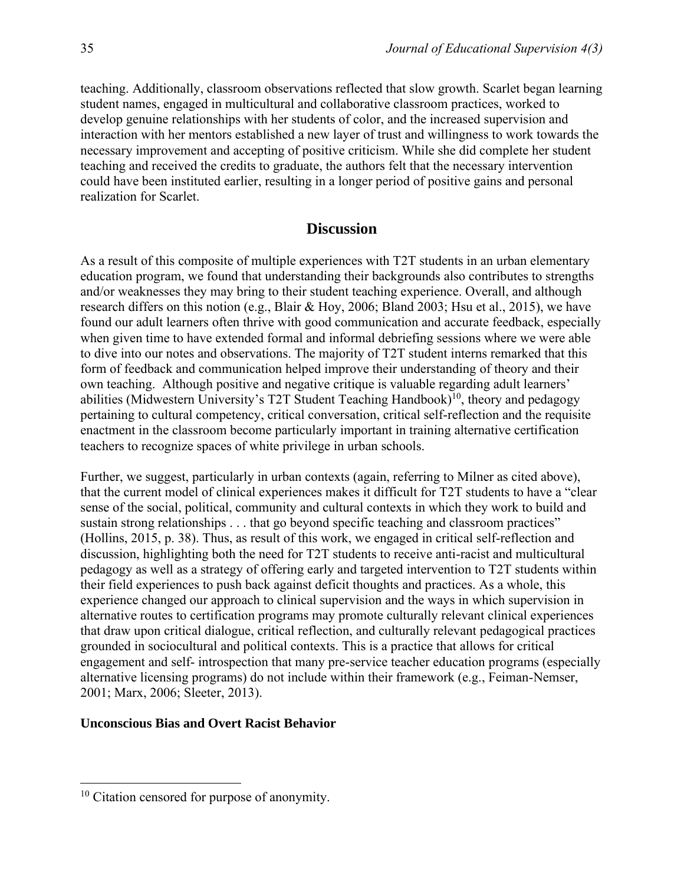teaching. Additionally, classroom observations reflected that slow growth. Scarlet began learning student names, engaged in multicultural and collaborative classroom practices, worked to develop genuine relationships with her students of color, and the increased supervision and interaction with her mentors established a new layer of trust and willingness to work towards the necessary improvement and accepting of positive criticism. While she did complete her student teaching and received the credits to graduate, the authors felt that the necessary intervention could have been instituted earlier, resulting in a longer period of positive gains and personal realization for Scarlet.

## **Discussion**

As a result of this composite of multiple experiences with T2T students in an urban elementary education program, we found that understanding their backgrounds also contributes to strengths and/or weaknesses they may bring to their student teaching experience. Overall, and although research differs on this notion (e.g., Blair & Hoy, 2006; Bland 2003; Hsu et al., 2015), we have found our adult learners often thrive with good communication and accurate feedback, especially when given time to have extended formal and informal debriefing sessions where we were able to dive into our notes and observations. The majority of T2T student interns remarked that this form of feedback and communication helped improve their understanding of theory and their own teaching. Although positive and negative critique is valuable regarding adult learners' abilities (Midwestern University's T2T Student Teaching Handbook)<sup>10</sup>, theory and pedagogy pertaining to cultural competency, critical conversation, critical self-reflection and the requisite enactment in the classroom become particularly important in training alternative certification teachers to recognize spaces of white privilege in urban schools.

Further, we suggest, particularly in urban contexts (again, referring to Milner as cited above), that the current model of clinical experiences makes it difficult for T2T students to have a "clear sense of the social, political, community and cultural contexts in which they work to build and sustain strong relationships . . . that go beyond specific teaching and classroom practices" (Hollins, 2015, p. 38). Thus, as result of this work, we engaged in critical self-reflection and discussion, highlighting both the need for T2T students to receive anti-racist and multicultural pedagogy as well as a strategy of offering early and targeted intervention to T2T students within their field experiences to push back against deficit thoughts and practices. As a whole, this experience changed our approach to clinical supervision and the ways in which supervision in alternative routes to certification programs may promote culturally relevant clinical experiences that draw upon critical dialogue, critical reflection, and culturally relevant pedagogical practices grounded in sociocultural and political contexts. This is a practice that allows for critical engagement and self- introspection that many pre-service teacher education programs (especially alternative licensing programs) do not include within their framework (e.g., Feiman-Nemser, 2001; Marx, 2006; Sleeter, 2013).

#### **Unconscious Bias and Overt Racist Behavior**

<sup>&</sup>lt;sup>10</sup> Citation censored for purpose of anonymity.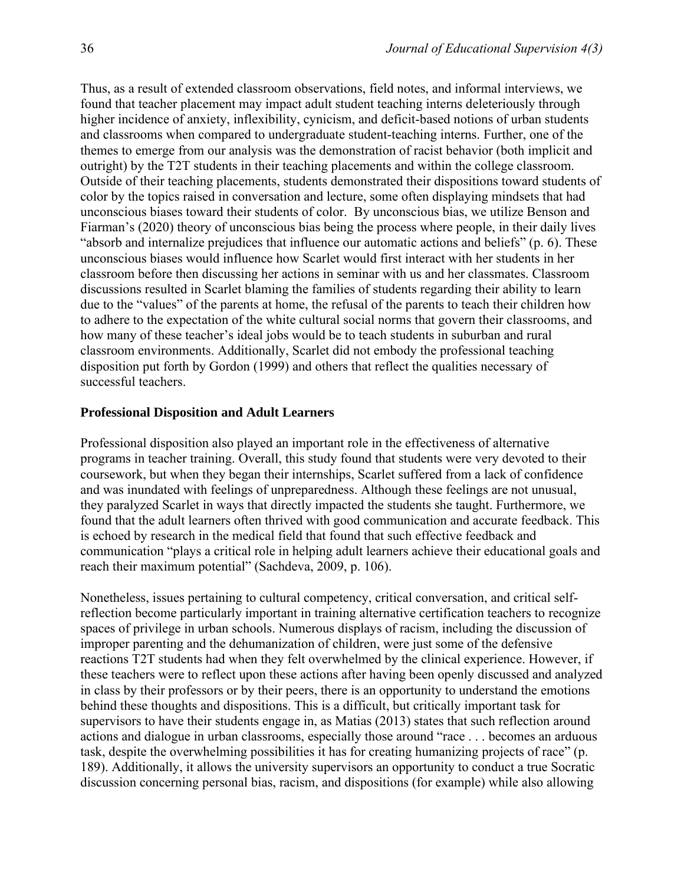Thus, as a result of extended classroom observations, field notes, and informal interviews, we found that teacher placement may impact adult student teaching interns deleteriously through higher incidence of anxiety, inflexibility, cynicism, and deficit-based notions of urban students and classrooms when compared to undergraduate student-teaching interns. Further, one of the themes to emerge from our analysis was the demonstration of racist behavior (both implicit and outright) by the T2T students in their teaching placements and within the college classroom. Outside of their teaching placements, students demonstrated their dispositions toward students of color by the topics raised in conversation and lecture, some often displaying mindsets that had unconscious biases toward their students of color. By unconscious bias, we utilize Benson and Fiarman's (2020) theory of unconscious bias being the process where people, in their daily lives "absorb and internalize prejudices that influence our automatic actions and beliefs" (p. 6). These unconscious biases would influence how Scarlet would first interact with her students in her classroom before then discussing her actions in seminar with us and her classmates. Classroom discussions resulted in Scarlet blaming the families of students regarding their ability to learn due to the "values" of the parents at home, the refusal of the parents to teach their children how to adhere to the expectation of the white cultural social norms that govern their classrooms, and how many of these teacher's ideal jobs would be to teach students in suburban and rural classroom environments. Additionally, Scarlet did not embody the professional teaching disposition put forth by Gordon (1999) and others that reflect the qualities necessary of successful teachers.

#### **Professional Disposition and Adult Learners**

Professional disposition also played an important role in the effectiveness of alternative programs in teacher training. Overall, this study found that students were very devoted to their coursework, but when they began their internships, Scarlet suffered from a lack of confidence and was inundated with feelings of unpreparedness. Although these feelings are not unusual, they paralyzed Scarlet in ways that directly impacted the students she taught. Furthermore, we found that the adult learners often thrived with good communication and accurate feedback. This is echoed by research in the medical field that found that such effective feedback and communication "plays a critical role in helping adult learners achieve their educational goals and reach their maximum potential" (Sachdeva, 2009, p. 106).

Nonetheless, issues pertaining to cultural competency, critical conversation, and critical selfreflection become particularly important in training alternative certification teachers to recognize spaces of privilege in urban schools. Numerous displays of racism, including the discussion of improper parenting and the dehumanization of children, were just some of the defensive reactions T2T students had when they felt overwhelmed by the clinical experience. However, if these teachers were to reflect upon these actions after having been openly discussed and analyzed in class by their professors or by their peers, there is an opportunity to understand the emotions behind these thoughts and dispositions. This is a difficult, but critically important task for supervisors to have their students engage in, as Matias (2013) states that such reflection around actions and dialogue in urban classrooms, especially those around "race . . . becomes an arduous task, despite the overwhelming possibilities it has for creating humanizing projects of race" (p. 189). Additionally, it allows the university supervisors an opportunity to conduct a true Socratic discussion concerning personal bias, racism, and dispositions (for example) while also allowing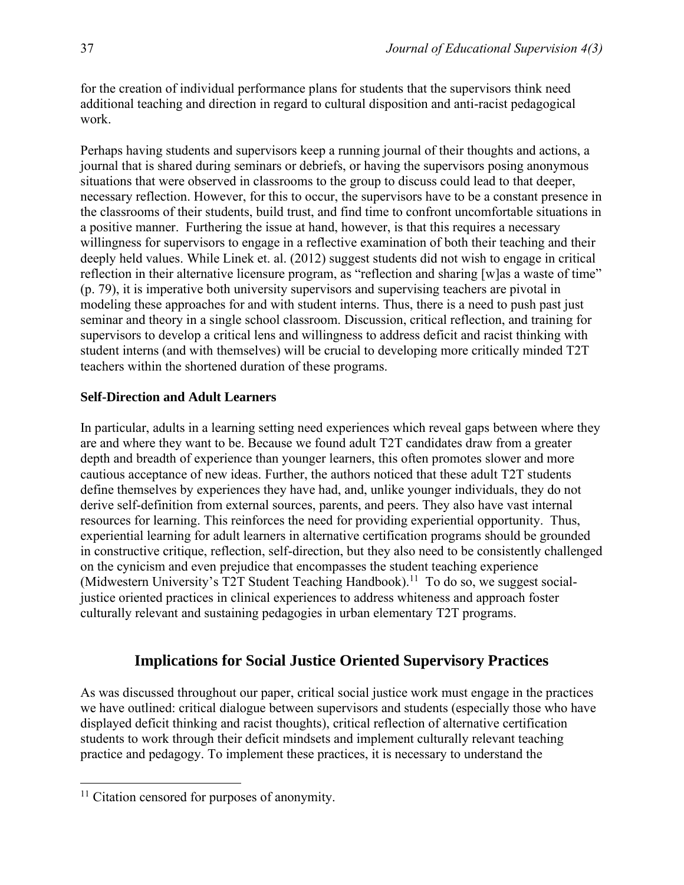for the creation of individual performance plans for students that the supervisors think need additional teaching and direction in regard to cultural disposition and anti-racist pedagogical work.

Perhaps having students and supervisors keep a running journal of their thoughts and actions, a journal that is shared during seminars or debriefs, or having the supervisors posing anonymous situations that were observed in classrooms to the group to discuss could lead to that deeper, necessary reflection. However, for this to occur, the supervisors have to be a constant presence in the classrooms of their students, build trust, and find time to confront uncomfortable situations in a positive manner. Furthering the issue at hand, however, is that this requires a necessary willingness for supervisors to engage in a reflective examination of both their teaching and their deeply held values. While Linek et. al. (2012) suggest students did not wish to engage in critical reflection in their alternative licensure program, as "reflection and sharing [w]as a waste of time" (p. 79), it is imperative both university supervisors and supervising teachers are pivotal in modeling these approaches for and with student interns. Thus, there is a need to push past just seminar and theory in a single school classroom. Discussion, critical reflection, and training for supervisors to develop a critical lens and willingness to address deficit and racist thinking with student interns (and with themselves) will be crucial to developing more critically minded T2T teachers within the shortened duration of these programs.

#### **Self-Direction and Adult Learners**

In particular, adults in a learning setting need experiences which reveal gaps between where they are and where they want to be. Because we found adult T2T candidates draw from a greater depth and breadth of experience than younger learners, this often promotes slower and more cautious acceptance of new ideas. Further, the authors noticed that these adult T2T students define themselves by experiences they have had, and, unlike younger individuals, they do not derive self-definition from external sources, parents, and peers. They also have vast internal resources for learning. This reinforces the need for providing experiential opportunity. Thus, experiential learning for adult learners in alternative certification programs should be grounded in constructive critique, reflection, self-direction, but they also need to be consistently challenged on the cynicism and even prejudice that encompasses the student teaching experience (Midwestern University's T2T Student Teaching Handbook).<sup>11</sup> To do so, we suggest socialjustice oriented practices in clinical experiences to address whiteness and approach foster culturally relevant and sustaining pedagogies in urban elementary T2T programs.

# **Implications for Social Justice Oriented Supervisory Practices**

As was discussed throughout our paper, critical social justice work must engage in the practices we have outlined: critical dialogue between supervisors and students (especially those who have displayed deficit thinking and racist thoughts), critical reflection of alternative certification students to work through their deficit mindsets and implement culturally relevant teaching practice and pedagogy. To implement these practices, it is necessary to understand the

<sup>&</sup>lt;sup>11</sup> Citation censored for purposes of anonymity.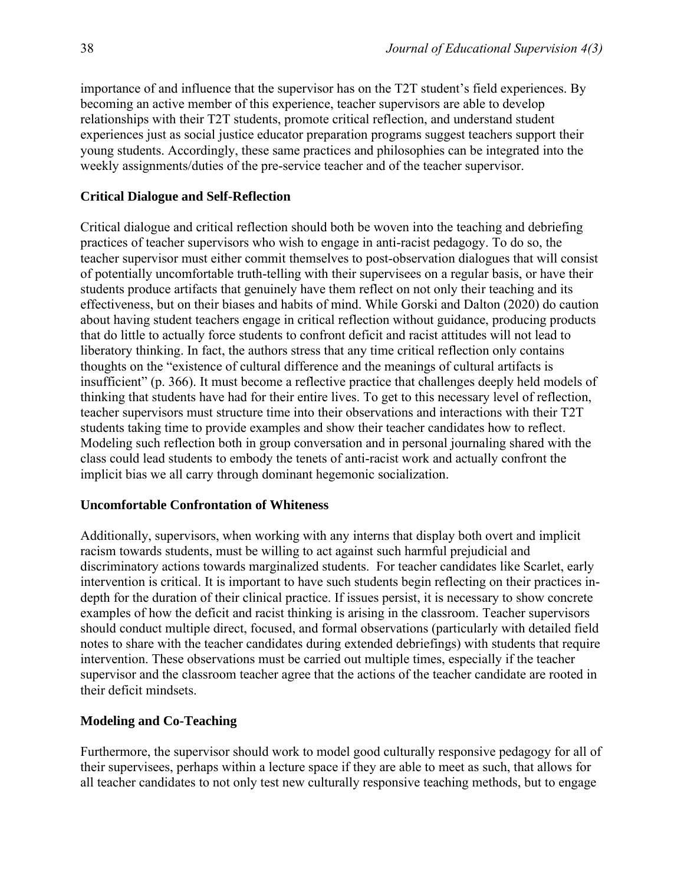importance of and influence that the supervisor has on the T2T student's field experiences. By becoming an active member of this experience, teacher supervisors are able to develop relationships with their T2T students, promote critical reflection, and understand student experiences just as social justice educator preparation programs suggest teachers support their young students. Accordingly, these same practices and philosophies can be integrated into the weekly assignments/duties of the pre-service teacher and of the teacher supervisor.

#### **Critical Dialogue and Self-Reflection**

Critical dialogue and critical reflection should both be woven into the teaching and debriefing practices of teacher supervisors who wish to engage in anti-racist pedagogy. To do so, the teacher supervisor must either commit themselves to post-observation dialogues that will consist of potentially uncomfortable truth-telling with their supervisees on a regular basis, or have their students produce artifacts that genuinely have them reflect on not only their teaching and its effectiveness, but on their biases and habits of mind. While Gorski and Dalton (2020) do caution about having student teachers engage in critical reflection without guidance, producing products that do little to actually force students to confront deficit and racist attitudes will not lead to liberatory thinking. In fact, the authors stress that any time critical reflection only contains thoughts on the "existence of cultural difference and the meanings of cultural artifacts is insufficient" (p. 366). It must become a reflective practice that challenges deeply held models of thinking that students have had for their entire lives. To get to this necessary level of reflection, teacher supervisors must structure time into their observations and interactions with their T2T students taking time to provide examples and show their teacher candidates how to reflect. Modeling such reflection both in group conversation and in personal journaling shared with the class could lead students to embody the tenets of anti-racist work and actually confront the implicit bias we all carry through dominant hegemonic socialization.

#### **Uncomfortable Confrontation of Whiteness**

Additionally, supervisors, when working with any interns that display both overt and implicit racism towards students, must be willing to act against such harmful prejudicial and discriminatory actions towards marginalized students. For teacher candidates like Scarlet, early intervention is critical. It is important to have such students begin reflecting on their practices indepth for the duration of their clinical practice. If issues persist, it is necessary to show concrete examples of how the deficit and racist thinking is arising in the classroom. Teacher supervisors should conduct multiple direct, focused, and formal observations (particularly with detailed field notes to share with the teacher candidates during extended debriefings) with students that require intervention. These observations must be carried out multiple times, especially if the teacher supervisor and the classroom teacher agree that the actions of the teacher candidate are rooted in their deficit mindsets.

### **Modeling and Co-Teaching**

Furthermore, the supervisor should work to model good culturally responsive pedagogy for all of their supervisees, perhaps within a lecture space if they are able to meet as such, that allows for all teacher candidates to not only test new culturally responsive teaching methods, but to engage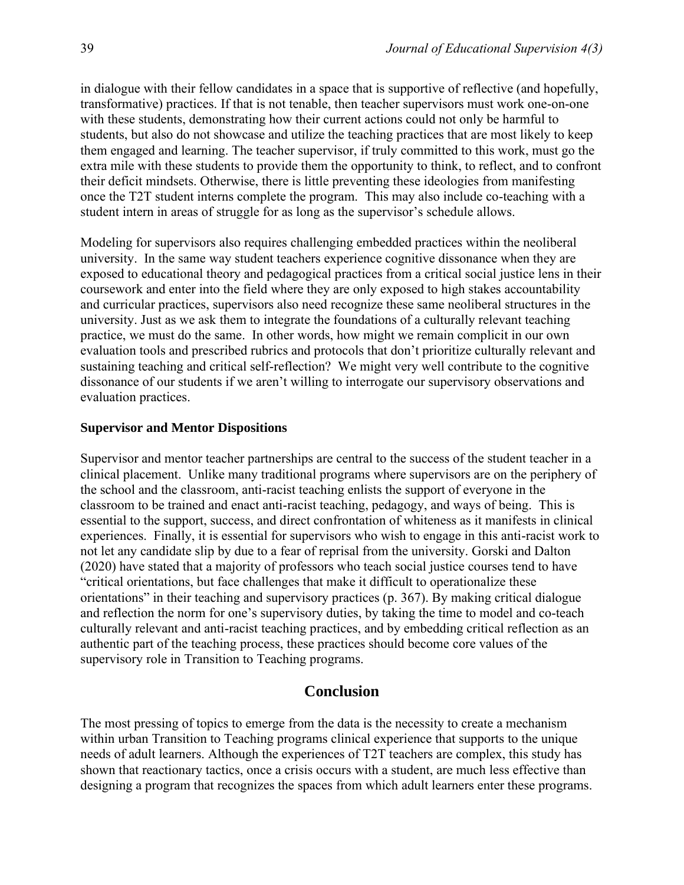in dialogue with their fellow candidates in a space that is supportive of reflective (and hopefully, transformative) practices. If that is not tenable, then teacher supervisors must work one-on-one with these students, demonstrating how their current actions could not only be harmful to students, but also do not showcase and utilize the teaching practices that are most likely to keep them engaged and learning. The teacher supervisor, if truly committed to this work, must go the extra mile with these students to provide them the opportunity to think, to reflect, and to confront their deficit mindsets. Otherwise, there is little preventing these ideologies from manifesting once the T2T student interns complete the program. This may also include co-teaching with a student intern in areas of struggle for as long as the supervisor's schedule allows.

Modeling for supervisors also requires challenging embedded practices within the neoliberal university. In the same way student teachers experience cognitive dissonance when they are exposed to educational theory and pedagogical practices from a critical social justice lens in their coursework and enter into the field where they are only exposed to high stakes accountability and curricular practices, supervisors also need recognize these same neoliberal structures in the university. Just as we ask them to integrate the foundations of a culturally relevant teaching practice, we must do the same. In other words, how might we remain complicit in our own evaluation tools and prescribed rubrics and protocols that don't prioritize culturally relevant and sustaining teaching and critical self-reflection? We might very well contribute to the cognitive dissonance of our students if we aren't willing to interrogate our supervisory observations and evaluation practices.

#### **Supervisor and Mentor Dispositions**

Supervisor and mentor teacher partnerships are central to the success of the student teacher in a clinical placement. Unlike many traditional programs where supervisors are on the periphery of the school and the classroom, anti-racist teaching enlists the support of everyone in the classroom to be trained and enact anti-racist teaching, pedagogy, and ways of being. This is essential to the support, success, and direct confrontation of whiteness as it manifests in clinical experiences. Finally, it is essential for supervisors who wish to engage in this anti-racist work to not let any candidate slip by due to a fear of reprisal from the university. Gorski and Dalton (2020) have stated that a majority of professors who teach social justice courses tend to have "critical orientations, but face challenges that make it difficult to operationalize these orientations" in their teaching and supervisory practices (p. 367). By making critical dialogue and reflection the norm for one's supervisory duties, by taking the time to model and co-teach culturally relevant and anti-racist teaching practices, and by embedding critical reflection as an authentic part of the teaching process, these practices should become core values of the supervisory role in Transition to Teaching programs.

# **Conclusion**

The most pressing of topics to emerge from the data is the necessity to create a mechanism within urban Transition to Teaching programs clinical experience that supports to the unique needs of adult learners. Although the experiences of T2T teachers are complex, this study has shown that reactionary tactics, once a crisis occurs with a student, are much less effective than designing a program that recognizes the spaces from which adult learners enter these programs.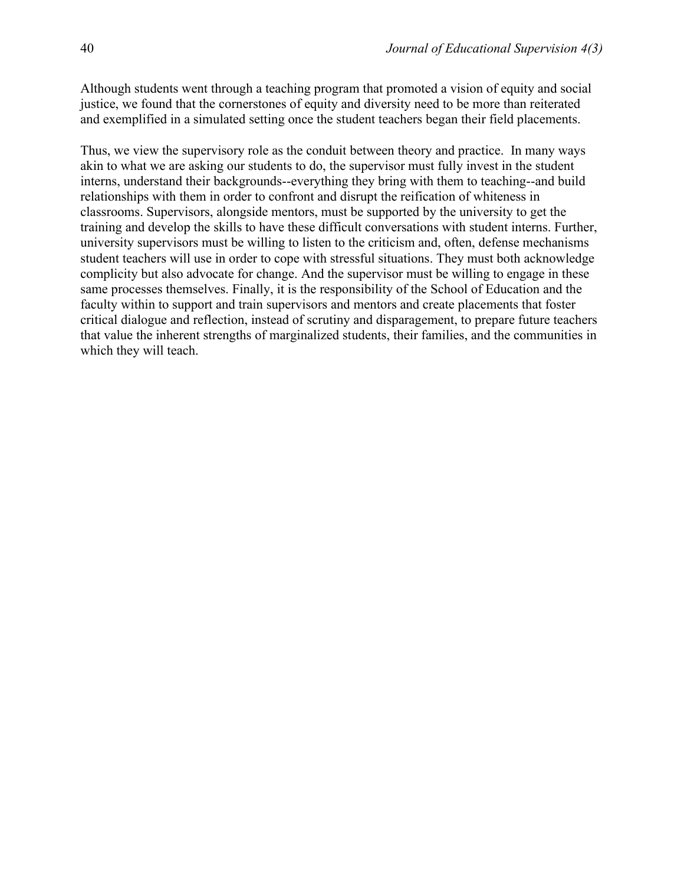Although students went through a teaching program that promoted a vision of equity and social justice, we found that the cornerstones of equity and diversity need to be more than reiterated and exemplified in a simulated setting once the student teachers began their field placements.

Thus, we view the supervisory role as the conduit between theory and practice. In many ways akin to what we are asking our students to do, the supervisor must fully invest in the student interns, understand their backgrounds--everything they bring with them to teaching--and build relationships with them in order to confront and disrupt the reification of whiteness in classrooms. Supervisors, alongside mentors, must be supported by the university to get the training and develop the skills to have these difficult conversations with student interns. Further, university supervisors must be willing to listen to the criticism and, often, defense mechanisms student teachers will use in order to cope with stressful situations. They must both acknowledge complicity but also advocate for change. And the supervisor must be willing to engage in these same processes themselves. Finally, it is the responsibility of the School of Education and the faculty within to support and train supervisors and mentors and create placements that foster critical dialogue and reflection, instead of scrutiny and disparagement, to prepare future teachers that value the inherent strengths of marginalized students, their families, and the communities in which they will teach.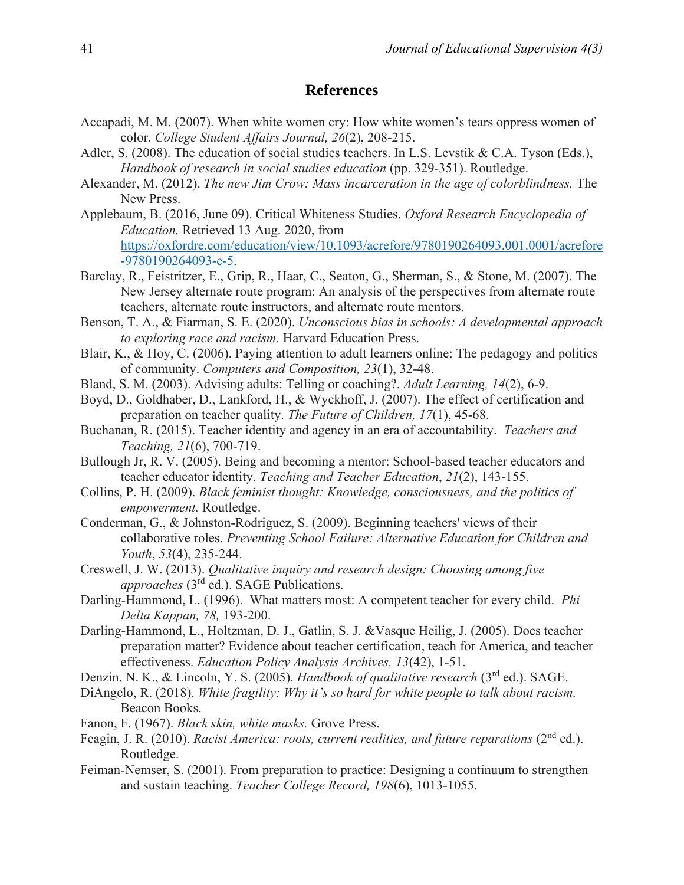### **References**

- Accapadi, M. M. (2007). When white women cry: How white women's tears oppress women of color. *College Student Affairs Journal, 26*(2), 208-215.
- Adler, S. (2008). The education of social studies teachers. In L.S. Levstik & C.A. Tyson (Eds.), *Handbook of research in social studies education* (pp. 329-351). Routledge.
- Alexander, M. (2012). *The new Jim Crow: Mass incarceration in the age of colorblindness.* The New Press.
- Applebaum, B. (2016, June 09). Critical Whiteness Studies. *Oxford Research Encyclopedia of Education.* Retrieved 13 Aug. 2020, from [https://oxfordre.com/education/view/10.1093/acrefore/9780190264093.001.0001/acrefore](https://oxfordre.com/education/view/10.1093/acrefore/9780190264093.001.0001/acrefore-9780190264093-e-5) [-9780190264093-e-5.](https://oxfordre.com/education/view/10.1093/acrefore/9780190264093.001.0001/acrefore-9780190264093-e-5)
- Barclay, R., Feistritzer, E., Grip, R., Haar, C., Seaton, G., Sherman, S., & Stone, M. (2007). The New Jersey alternate route program: An analysis of the perspectives from alternate route teachers, alternate route instructors, and alternate route mentors.
- Benson, T. A., & Fiarman, S. E. (2020). *Unconscious bias in schools: A developmental approach to exploring race and racism.* Harvard Education Press.
- Blair, K., & Hoy, C. (2006). Paying attention to adult learners online: The pedagogy and politics of community. *Computers and Composition, 23*(1), 32-48.
- Bland, S. M. (2003). Advising adults: Telling or coaching?. *Adult Learning, 14*(2), 6-9.
- Boyd, D., Goldhaber, D., Lankford, H., & Wyckhoff, J. (2007). The effect of certification and preparation on teacher quality. *The Future of Children, 17*(1), 45-68.
- Buchanan, R. (2015). Teacher identity and agency in an era of accountability. *Teachers and Teaching, 21*(6), 700-719.
- Bullough Jr, R. V. (2005). Being and becoming a mentor: School-based teacher educators and teacher educator identity. *Teaching and Teacher Education*, *21*(2), 143-155.
- Collins, P. H. (2009). *Black feminist thought: Knowledge, consciousness, and the politics of empowerment.* Routledge.
- Conderman, G., & Johnston-Rodriguez, S. (2009). Beginning teachers' views of their collaborative roles. *Preventing School Failure: Alternative Education for Children and Youth*, *53*(4), 235-244.
- Creswell, J. W. (2013). *Qualitative inquiry and research design: Choosing among five approaches* (3rd ed.). SAGE Publications.
- Darling-Hammond, L. (1996). What matters most: A competent teacher for every child. *Phi Delta Kappan, 78,* 193-200.
- Darling-Hammond, L., Holtzman, D. J., Gatlin, S. J. &Vasque Heilig, J. (2005). Does teacher preparation matter? Evidence about teacher certification, teach for America, and teacher effectiveness. *Education Policy Analysis Archives, 13*(42), 1-51.
- Denzin, N. K., & Lincoln, Y. S. (2005). *Handbook of qualitative research* (3rd ed.). SAGE.
- DiAngelo, R. (2018). *White fragility: Why it's so hard for white people to talk about racism.*  Beacon Books.
- Fanon, F. (1967). *Black skin, white masks.* Grove Press.
- Feagin, J. R. (2010). *Racist America: roots, current realities, and future reparations* (2nd ed.). Routledge.
- Feiman-Nemser, S. (2001). From preparation to practice: Designing a continuum to strengthen and sustain teaching. *Teacher College Record, 198*(6), 1013-1055.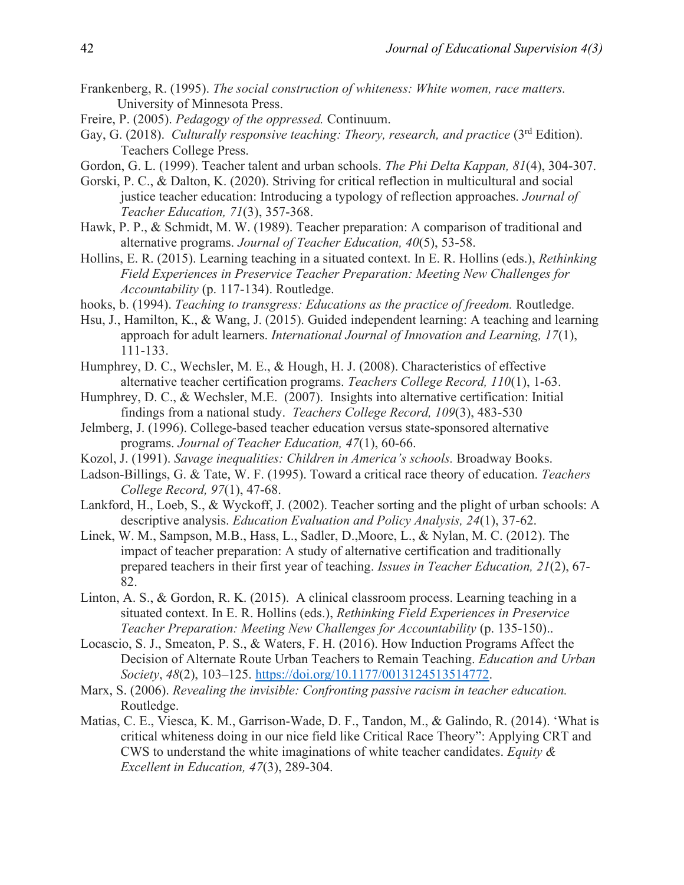- Frankenberg, R. (1995). *The social construction of whiteness: White women, race matters.*  University of Minnesota Press.
- Freire, P. (2005). *Pedagogy of the oppressed.* Continuum.
- Gay, G. (2018). *Culturally responsive teaching: Theory, research, and practice* (3<sup>rd</sup> Edition). Teachers College Press.
- Gordon, G. L. (1999). Teacher talent and urban schools. *The Phi Delta Kappan, 81*(4), 304-307.
- Gorski, P. C., & Dalton, K. (2020). Striving for critical reflection in multicultural and social justice teacher education: Introducing a typology of reflection approaches. *Journal of Teacher Education, 71*(3), 357-368.
- Hawk, P. P., & Schmidt, M. W. (1989). Teacher preparation: A comparison of traditional and alternative programs. *Journal of Teacher Education, 40*(5), 53-58.
- Hollins, E. R. (2015). Learning teaching in a situated context. In E. R. Hollins (eds.), *Rethinking Field Experiences in Preservice Teacher Preparation: Meeting New Challenges for Accountability* (p. 117-134). Routledge.
- hooks, b. (1994). *Teaching to transgress: Educations as the practice of freedom.* Routledge.
- Hsu, J., Hamilton, K., & Wang, J. (2015). Guided independent learning: A teaching and learning approach for adult learners. *International Journal of Innovation and Learning, 17*(1), 111-133.
- Humphrey, D. C., Wechsler, M. E., & Hough, H. J. (2008). Characteristics of effective alternative teacher certification programs. *Teachers College Record, 110*(1), 1-63.
- Humphrey, D. C., & Wechsler, M.E. (2007). Insights into alternative certification: Initial findings from a national study. *Teachers College Record, 109*(3), 483-530
- Jelmberg, J. (1996). College-based teacher education versus state-sponsored alternative programs. *Journal of Teacher Education, 47*(1), 60-66.
- Kozol, J. (1991). *Savage inequalities: Children in America's schools.* Broadway Books.
- Ladson-Billings, G. & Tate, W. F. (1995). Toward a critical race theory of education. *Teachers College Record, 97*(1), 47-68.
- Lankford, H., Loeb, S., & Wyckoff, J. (2002). Teacher sorting and the plight of urban schools: A descriptive analysis. *Education Evaluation and Policy Analysis, 24*(1), 37-62.
- Linek, W. M., Sampson, M.B., Hass, L., Sadler, D.,Moore, L., & Nylan, M. C. (2012). The impact of teacher preparation: A study of alternative certification and traditionally prepared teachers in their first year of teaching. *Issues in Teacher Education, 21*(2), 67- 82.
- Linton, A. S., & Gordon, R. K. (2015). A clinical classroom process. Learning teaching in a situated context. In E. R. Hollins (eds.), *Rethinking Field Experiences in Preservice Teacher Preparation: Meeting New Challenges for Accountability* (p. 135-150)..
- Locascio, S. J., Smeaton, P. S., & Waters, F. H. (2016). How Induction Programs Affect the Decision of Alternate Route Urban Teachers to Remain Teaching. *Education and Urban Society*, *48*(2), 103–125. [https://doi.org/10.1177/0013124513514772.](https://doi.org/10.1177/0013124513514772)
- Marx, S. (2006). *Revealing the invisible: Confronting passive racism in teacher education.*  Routledge.
- Matias, C. E., Viesca, K. M., Garrison-Wade, D. F., Tandon, M., & Galindo, R. (2014). 'What is critical whiteness doing in our nice field like Critical Race Theory": Applying CRT and CWS to understand the white imaginations of white teacher candidates. *Equity & Excellent in Education, 47*(3), 289-304.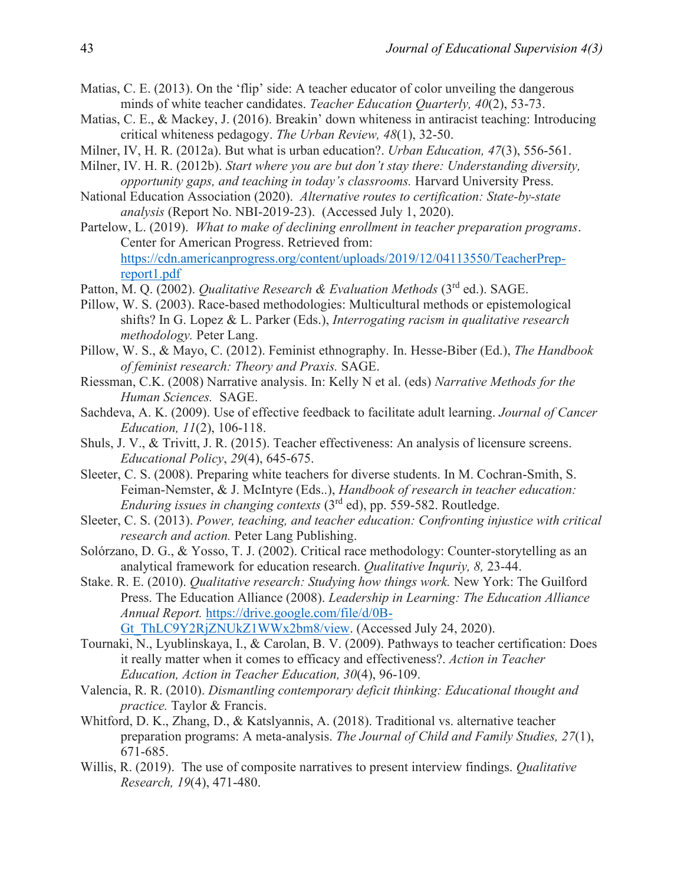- Matias, C. E. (2013). On the 'flip' side: A teacher educator of color unveiling the dangerous minds of white teacher candidates. *Teacher Education Quarterly, 40*(2), 53-73.
- Matias, C. E., & Mackey, J. (2016). Breakin' down whiteness in antiracist teaching: Introducing critical whiteness pedagogy. *The Urban Review, 48*(1), 32-50.
- Milner, IV, H. R. (2012a). But what is urban education?. *Urban Education, 47*(3), 556-561.
- Milner, IV. H. R. (2012b). *Start where you are but don't stay there: Understanding diversity, opportunity gaps, and teaching in today's classrooms.* Harvard University Press.
- National Education Association (2020). *Alternative routes to certification: State-by-state analysis* (Report No. NBI-2019-23).(Accessed July 1, 2020).
- Partelow, L. (2019). *What to make of declining enrollment in teacher preparation programs*. Center for American Progress. Retrieved from: [https://cdn.americanprogress.org/content/uploads/2019/12/04113550/TeacherPrep](https://cdn.americanprogress.org/content/uploads/2019/12/04113550/TeacherPrep-report1.pdf)[report1.pdf](https://cdn.americanprogress.org/content/uploads/2019/12/04113550/TeacherPrep-report1.pdf)
- Patton, M. Q. (2002). *Qualitative Research & Evaluation Methods* (3<sup>rd</sup> ed.). SAGE.
- Pillow, W. S. (2003). Race-based methodologies: Multicultural methods or epistemological shifts? In G. Lopez & L. Parker (Eds.), *Interrogating racism in qualitative research methodology.* Peter Lang.
- Pillow, W. S., & Mayo, C. (2012). Feminist ethnography. In. Hesse-Biber (Ed.), *The Handbook of feminist research: Theory and Praxis.* SAGE.
- Riessman, C.K. (2008) Narrative analysis. In: Kelly N et al. (eds) *Narrative Methods for the Human Sciences.* SAGE.
- Sachdeva, A. K. (2009). Use of effective feedback to facilitate adult learning. *Journal of Cancer Education, 11*(2), 106-118.
- Shuls, J. V., & Trivitt, J. R. (2015). Teacher effectiveness: An analysis of licensure screens. *Educational Policy*, *29*(4), 645-675.
- Sleeter, C. S. (2008). Preparing white teachers for diverse students. In M. Cochran-Smith, S. Feiman-Nemster, & J. McIntyre (Eds..), *Handbook of research in teacher education: Enduring issues in changing contexts* (3rd ed), pp. 559-582. Routledge.
- Sleeter, C. S. (2013). *Power, teaching, and teacher education: Confronting injustice with critical research and action.* Peter Lang Publishing.
- Solórzano, D. G., & Yosso, T. J. (2002). Critical race methodology: Counter-storytelling as an analytical framework for education research. *Qualitative Inquriy, 8,* 23-44.
- Stake. R. E. (2010). *Qualitative research: Studying how things work.* New York: The Guilford Press. The Education Alliance (2008). *Leadership in Learning: The Education Alliance Annual Report.* [https://drive.google.com/file/d/0B-](https://drive.google.com/file/d/0B-Gt_ThLC9Y2RjZNUkZ1WWx2bm8/view)[Gt\\_ThLC9Y2RjZNUkZ1WWx2bm8/view.](https://drive.google.com/file/d/0B-Gt_ThLC9Y2RjZNUkZ1WWx2bm8/view) (Accessed July 24, 2020).
- Tournaki, N., Lyublinskaya, I., & Carolan, B. V. (2009). Pathways to teacher certification: Does it really matter when it comes to efficacy and effectiveness?. *Action in Teacher Education, Action in Teacher Education, 30*(4), 96-109.
- Valencia, R. R. (2010). *Dismantling contemporary deficit thinking: Educational thought and practice.* Taylor & Francis.
- Whitford, D. K., Zhang, D., & Katslyannis, A. (2018). Traditional vs. alternative teacher preparation programs: A meta-analysis. *The Journal of Child and Family Studies, 27*(1), 671-685.
- Willis, R. (2019). The use of composite narratives to present interview findings. *Qualitative Research, 19*(4), 471-480.